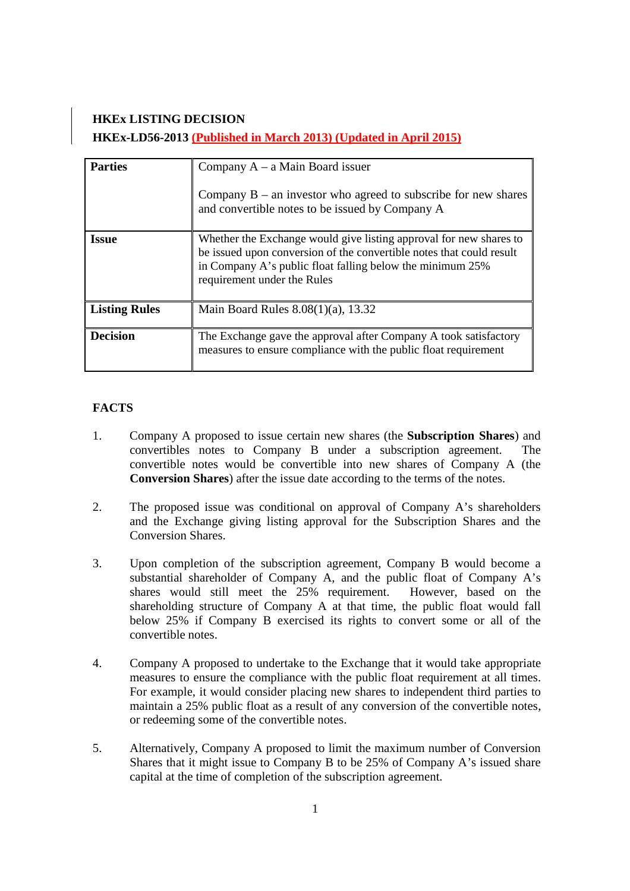# **HKEx LISTING DECISION HKEx-LD56-2013 (Published in March 2013) (Updated in April 2015)**

| <b>Parties</b>       | Company $A - a$ Main Board issuer<br>Company $B - a$ n investor who agreed to subscribe for new shares<br>and convertible notes to be issued by Company A                                                                              |
|----------------------|----------------------------------------------------------------------------------------------------------------------------------------------------------------------------------------------------------------------------------------|
| <b>Issue</b>         | Whether the Exchange would give listing approval for new shares to<br>be issued upon conversion of the convertible notes that could result<br>in Company A's public float falling below the minimum 25%<br>requirement under the Rules |
| <b>Listing Rules</b> | Main Board Rules $8.08(1)(a)$ , 13.32                                                                                                                                                                                                  |
| <b>Decision</b>      | The Exchange gave the approval after Company A took satisfactory<br>measures to ensure compliance with the public float requirement                                                                                                    |

## **FACTS**

- 1. Company A proposed to issue certain new shares (the **Subscription Shares**) and convertibles notes to Company B under a subscription agreement. The convertible notes would be convertible into new shares of Company A (the **Conversion Shares**) after the issue date according to the terms of the notes.
- 2. The proposed issue was conditional on approval of Company A's shareholders and the Exchange giving listing approval for the Subscription Shares and the Conversion Shares.
- 3. Upon completion of the subscription agreement, Company B would become a substantial shareholder of Company A, and the public float of Company A's shares would still meet the 25% requirement. However, based on the shareholding structure of Company A at that time, the public float would fall below 25% if Company B exercised its rights to convert some or all of the convertible notes.
- 4. Company A proposed to undertake to the Exchange that it would take appropriate measures to ensure the compliance with the public float requirement at all times. For example, it would consider placing new shares to independent third parties to maintain a 25% public float as a result of any conversion of the convertible notes, or redeeming some of the convertible notes.
- 5. Alternatively, Company A proposed to limit the maximum number of Conversion Shares that it might issue to Company B to be 25% of Company A's issued share capital at the time of completion of the subscription agreement.